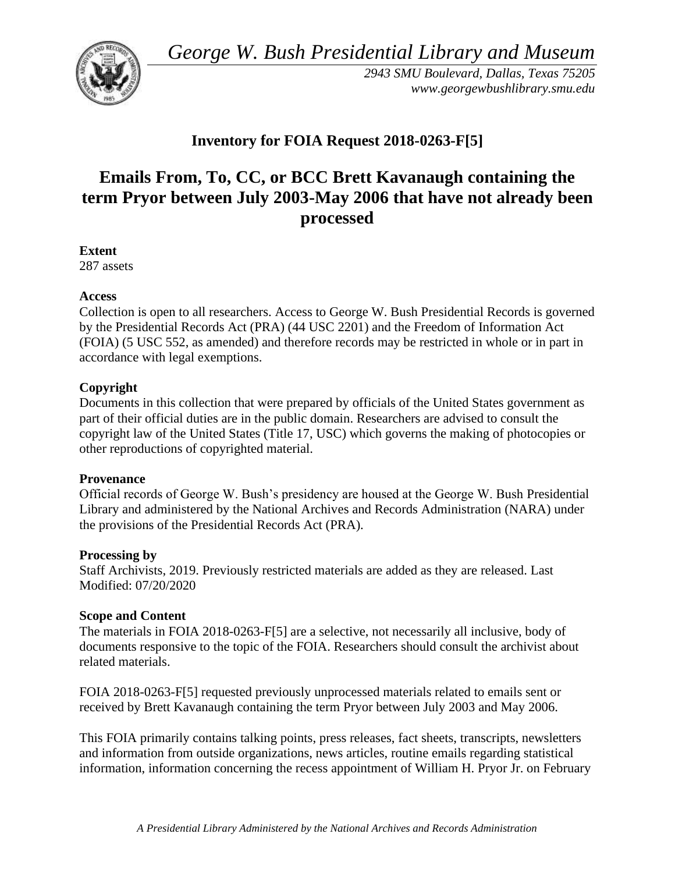*George W. Bush Presidential Library and Museum* 



*2943 SMU Boulevard, Dallas, Texas 75205 <www.georgewbushlibrary.smu.edu>*

# **Inventory for FOIA Request 2018-0263-F[5]**

# **Emails From, To, CC, or BCC Brett Kavanaugh containing the term Pryor between July 2003-May 2006 that have not already been processed**

**Extent** 

287 assets

#### **Access**

Collection is open to all researchers. Access to George W. Bush Presidential Records is governed by the Presidential Records Act (PRA) (44 USC 2201) and the Freedom of Information Act (FOIA) (5 USC 552, as amended) and therefore records may be restricted in whole or in part in accordance with legal exemptions.

### **Copyright**

Documents in this collection that were prepared by officials of the United States government as part of their official duties are in the public domain. Researchers are advised to consult the copyright law of the United States (Title 17, USC) which governs the making of photocopies or other reproductions of copyrighted material.

#### **Provenance**

Official records of George W. Bush's presidency are housed at the George W. Bush Presidential Library and administered by the National Archives and Records Administration (NARA) under the provisions of the Presidential Records Act (PRA).

#### **Processing by**

Staff Archivists, 2019. Previously restricted materials are added as they are released. Last Modified: 07/20/2020

## **Scope and Content**

The materials in FOIA 2018-0263-F[5] are a selective, not necessarily all inclusive, body of documents responsive to the topic of the FOIA. Researchers should consult the archivist about related materials.

FOIA 2018-0263-F[5] requested previously unprocessed materials related to emails sent or received by Brett Kavanaugh containing the term Pryor between July 2003 and May 2006.

This FOIA primarily contains talking points, press releases, fact sheets, transcripts, newsletters and information from outside organizations, news articles, routine emails regarding statistical information, information concerning the recess appointment of William H. Pryor Jr. on February